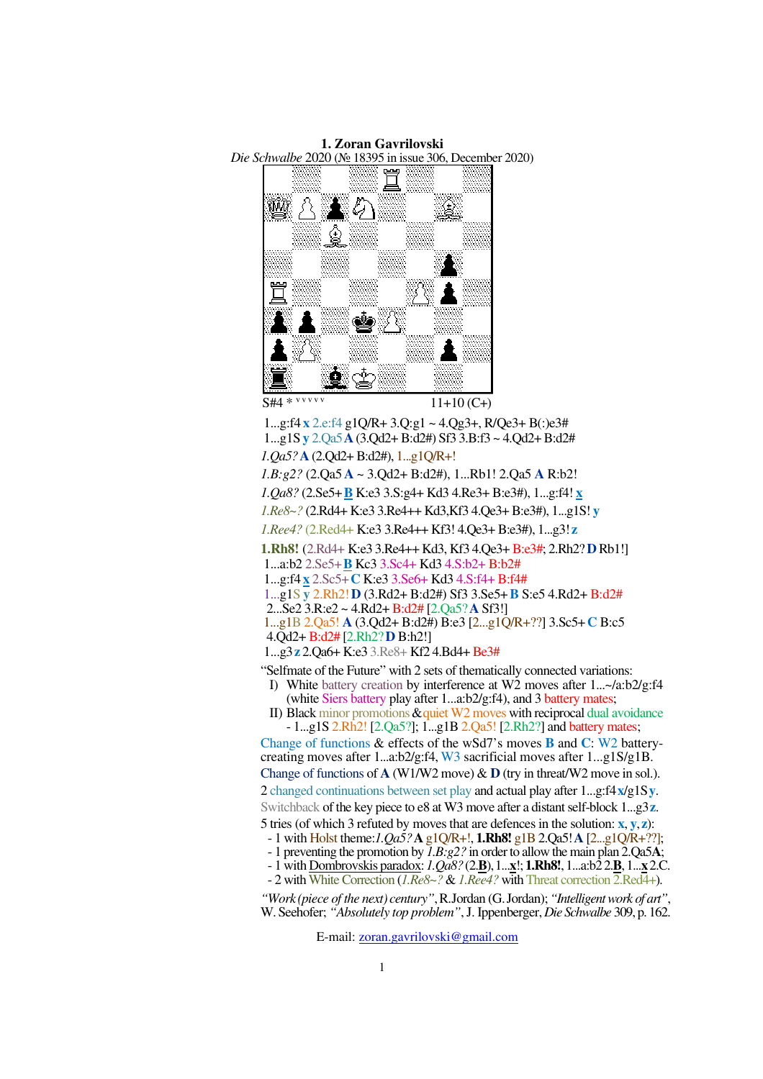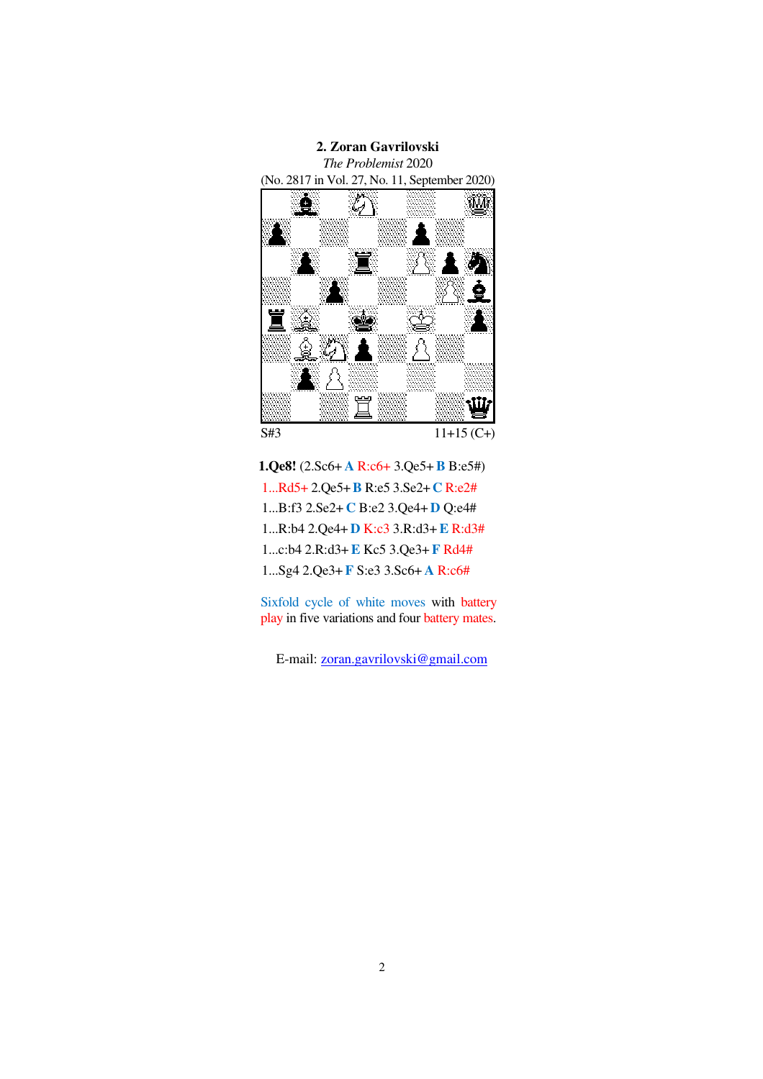

**1.Qe8!** (2.Sc6+ **A** R:c6+ 3.Qe5+**B** B:e5#) 1...Rd5+ 2.Qe5+**B** R:e5 3.Se2+**C** R:e2# 1...B:f3 2.Se2+ **C** B:e2 3.Qe4+ **D** Q:e4# 1...R:b4 2.Qe4+ **D** K:c3 3.R:d3+**E** R:d3# 1...c:b4 2.R:d3+**E** Kc5 3.Qe3+ **F** Rd4# 1...Sg4 2.Qe3+ **F** S:e3 3.Sc6+ **A** R:c6#

Sixfold cycle of white moves with battery play in five variations and four battery mates.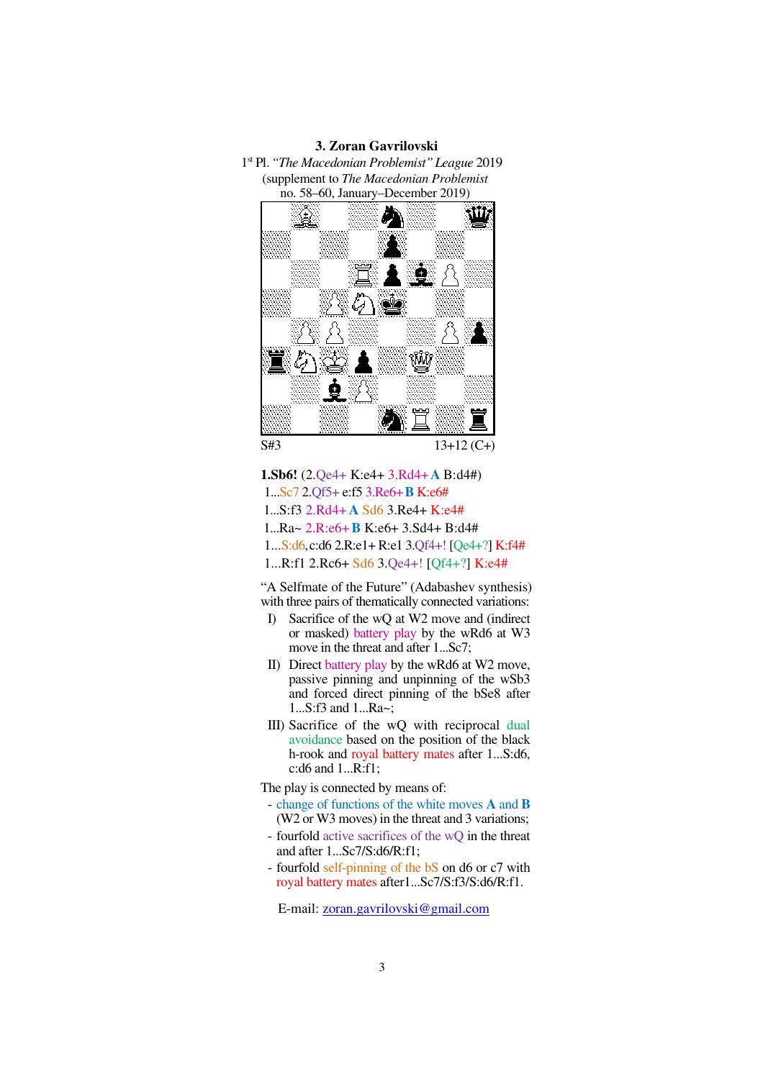**3. Zoran Gavrilovski**





**1.Sb6!** (2.Qe4+ K:e4+ 3.Rd4+**A** B:d4#) 1...Sc7 2.Qf5+ e:f5 3.Re6+**B** K:e6# 1...S:f3 2.Rd4+ **A** Sd6 3.Re4+ K:e4# 1...Ra~ 2.R:e6+**B** K:e6+ 3.Sd4+ B:d4# 1...S:d6,c:d6 2.R:e1+ R:e1 3.Qf4+! [Qe4+?] K:f4# 1...R:f1 2.Rc6+ Sd6 3.Qe4+! [Qf4+?] K:e4#

"A Selfmate of the Future" (Adabashev synthesis) with three pairs of thematically connected variations:

- I) Sacrifice of the wQ at W2 move and (indirect or masked) battery play by the wRd6 at W3 move in the threat and after 1...Sc7;
- II) Direct battery play by the wRd6 at W2 move, passive pinning and unpinning of the wSb3 and forced direct pinning of the bSe8 after 1...S:f3 and 1...Ra~;
- III) Sacrifice of the wQ with reciprocal dual avoidance based on the position of the black h-rook and royal battery mates after 1...S:d6, c:d6 and 1...R:f1;

The play is connected by means of:

- change of functions of the white moves **A** and **B** (W2 or W3 moves) in the threat and 3 variations;
- fourfold active sacrifices of the wQ in the threat and after 1...Sc7/S:d6/R:f1;
- fourfold self-pinning of the bS on d6 or c7 with royal battery mates after1...Sc7/S:f3/S:d6/R:f1.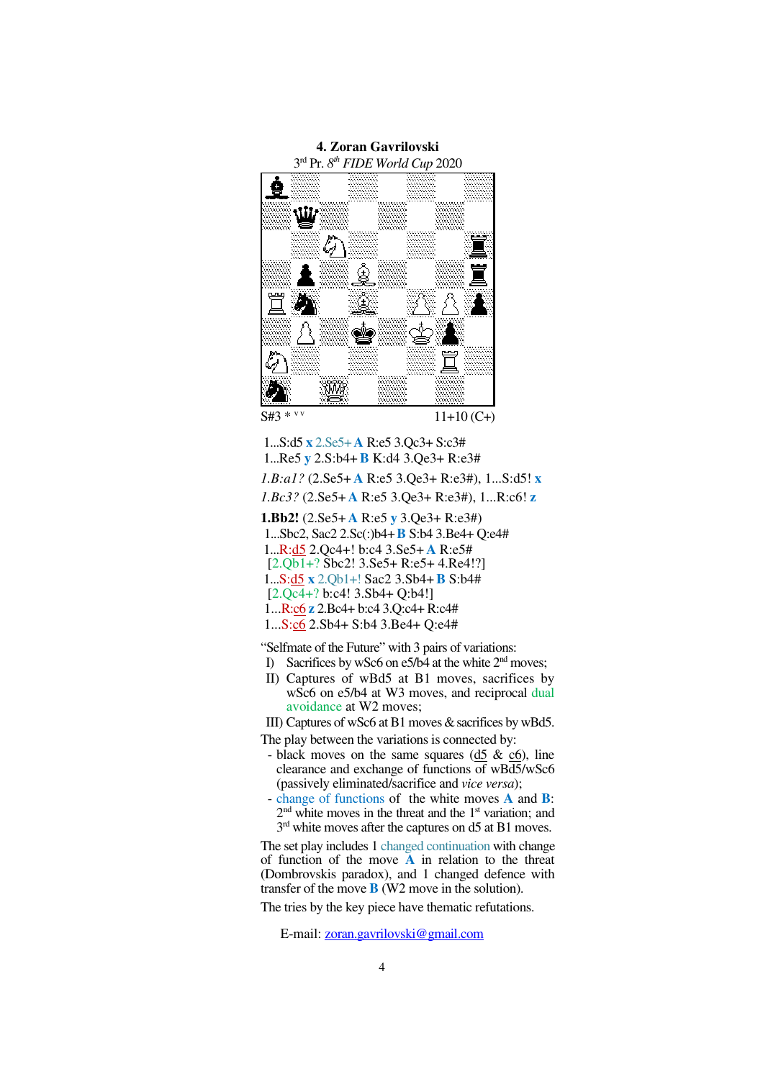

 1...S:d5 **x** 2.Se5+**A** R:e5 3.Qc3+ S:c3# 1...Re5 **y** 2.S:b4+**B** K:d4 3.Qe3+ R:e3# *1.B:a1?* (2.Se5+ **A** R:e5 3.Qe3+ R:e3#), 1...S:d5! **x** *1.Bc3?* (2.Se5+ **A** R:e5 3.Qe3+ R:e3#), 1...R:c6! **z 1.Bb2!** (2.Se5+ **A** R:e5 **y** 3.Qe3+ R:e3#) 1...Sbc2, Sac2 2.Sc(:)b4+**B** S:b4 3.Be4+ Q:e4# 1...R:d5 2.Qc4+! b:c4 3.Se5+ **A** R:e5#  $[2.Qb1+?Sbc2!3.Se5+R:e5+4.Re4!]$ 1...S:d5 **x** 2.Qb1+! Sac2 3.Sb4+**B** S:b4#

[2.Qc4+? b:c4! 3.Sb4+ Q:b4!]

1...R:c6 **z** 2.Bc4+ b:c4 3.Q:c4+ R:c4#

1...S:c6 2.Sb4+ S:b4 3.Be4+ Q:e4#

"Selfmate of the Future" with 3 pairs of variations:

- I) Sacrifices by wSc6 on e5/b4 at the white 2<sup>nd</sup> moves;
- II) Captures of wBd5 at B1 moves, sacrifices by wSc6 on e5/b4 at W3 moves, and reciprocal dual avoidance at W2 moves;

III) Captures of wSc6 at B1 moves & sacrifices by wBd5.

The play between the variations is connected by:

- black moves on the same squares  $(d5 \& c6)$ , line clearance and exchange of functions  $\overline{of}$  wB $\overline{d5}/w\overline{Sc6}$ (passively eliminated/sacrifice and *vice versa*);
- change of functions of the white moves **A** and **B**:  $2<sup>nd</sup>$  white moves in the threat and the  $1<sup>st</sup>$  variation; and 3<sup>rd</sup> white moves after the captures on d5 at B1 moves.

The set play includes 1 changed continuation with change of function of the move **A** in relation to the threat (Dombrovskis paradox), and 1 changed defence with transfer of the move **B** (W2 move in the solution).

The tries by the key piece have thematic refutations.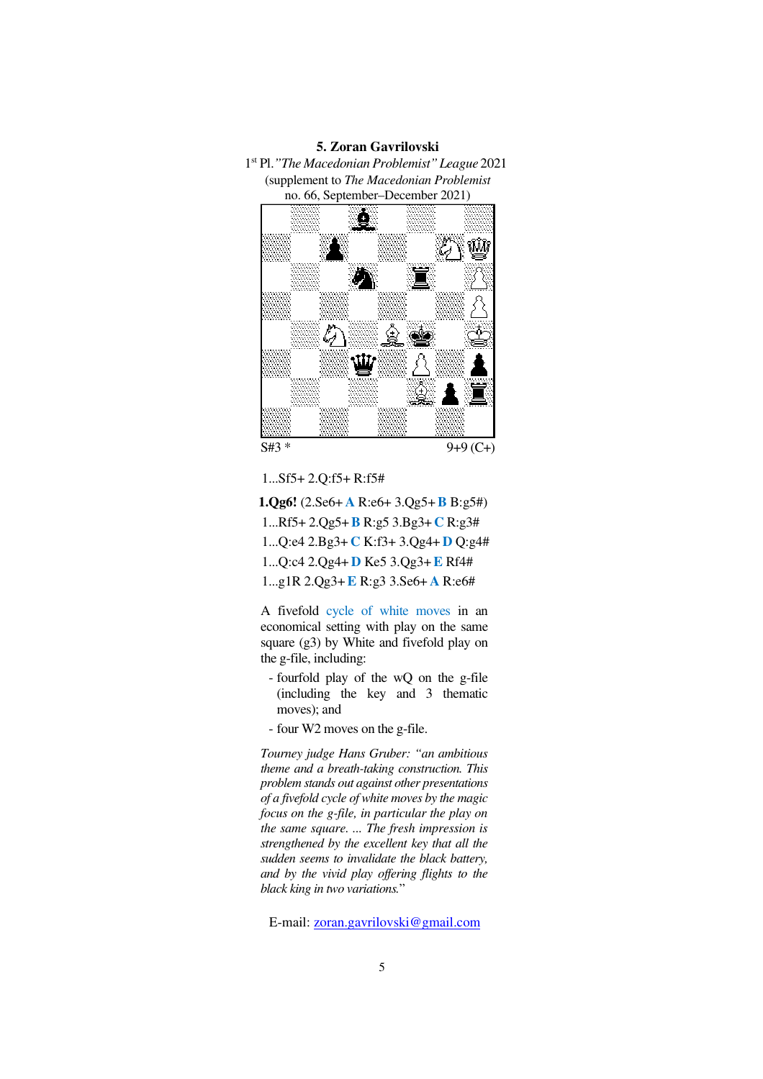## **5. Zoran Gavrilovski**

1 st Pl.*"The Macedonian Problemist"League* 2021 (supplement to *The Macedonian Problemist*  no. 66, September–December 2021)



1...Sf5+ 2.Q:f5+ R:f5#

**1.Qg6!** (2.Se6+ **A** R:e6+ 3.Qg5+**B** B:g5#) 1...Rf5+ 2.Qg5+**B** R:g5 3.Bg3+ **C** R:g3# 1...Q:e4 2.Bg3+ **C** K:f3+ 3.Qg4+ **D** Q:g4# 1...Q:c4 2.Qg4+ **D** Ke5 3.Qg3+**E** Rf4#

1...g1R 2.Qg3+**E** R:g3 3.Se6+ **A** R:e6#

A fivefold cycle of white moves in an economical setting with play on the same square (g3) by White and fivefold play on the g-file, including:

- fourfold play of the wQ on the g-file (including the key and 3 thematic moves); and
- four W2 moves on the g-file.

*Tourney judge Hans Gruber: "an ambitious theme and a breath-taking construction. This problem stands out against other presentations of a fivefold cycle of white moves by the magic focus on the g-file, in particular the play on the same square. ... The fresh impression is strengthened by the excellent key that all the sudden seems to invalidate the black battery, and by the vivid play offering flights to the black king in two variations.*"